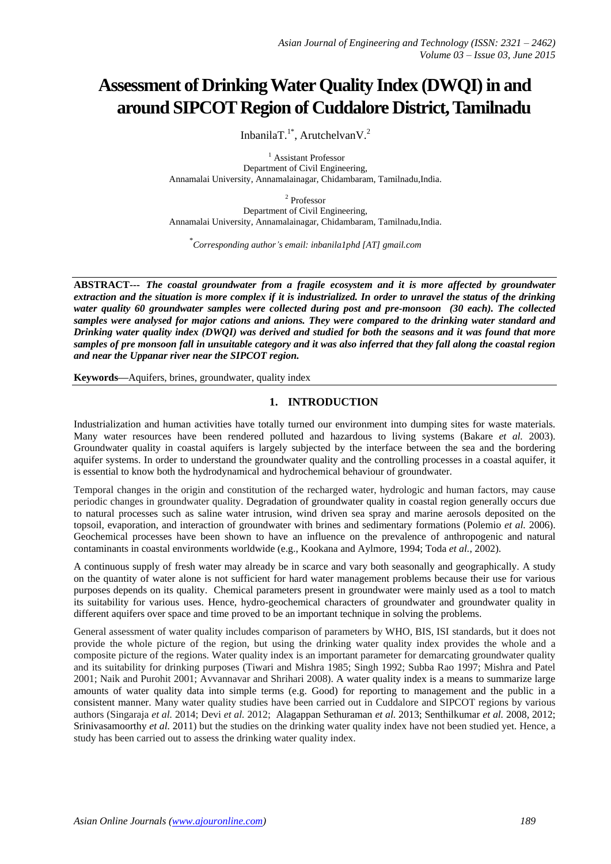# **Assessment of Drinking Water Quality Index (DWQI) in and around SIPCOT Region of Cuddalore District, Tamilnadu**

Inbanila $T^{1*}$ , ArutchelvanV.<sup>2</sup>

<sup>1</sup> Assistant Professor Department of Civil Engineering, Annamalai University, Annamalainagar, Chidambaram, Tamilnadu,India.

2 Professor Department of Civil Engineering, Annamalai University, Annamalainagar, Chidambaram, Tamilnadu,India.

\* *Corresponding author's email: inbanila1phd [AT] gmail.com*

**ABSTRACT---** *The coastal groundwater from a fragile ecosystem and it is more affected by groundwater extraction and the situation is more complex if it is industrialized. In order to unravel the status of the drinking water quality 60 groundwater samples were collected during post and pre-monsoon (30 each). The collected samples were analysed for major cations and anions. They were compared to the drinking water standard and Drinking water quality index (DWQI) was derived and studied for both the seasons and it was found that more samples of pre monsoon fall in unsuitable category and it was also inferred that they fall along the coastal region and near the Uppanar river near the SIPCOT region.*

**Keywords—**Aquifers, brines, groundwater, quality index

# **1. INTRODUCTION**

Industrialization and human activities have totally turned our environment into dumping sites for waste materials. Many water resources have been rendered polluted and hazardous to living systems (Bakare *et al.* 2003). Groundwater quality in coastal aquifers is largely subjected by the interface between the sea and the bordering aquifer systems. In order to understand the groundwater quality and the controlling processes in a coastal aquifer, it is essential to know both the hydrodynamical and hydrochemical behaviour of groundwater.

Temporal changes in the origin and constitution of the recharged water, hydrologic and human factors, may cause periodic changes in groundwater quality. Degradation of groundwater quality in coastal region generally occurs due to natural processes such as saline water intrusion, wind driven sea spray and marine aerosols deposited on the topsoil, evaporation, and interaction of groundwater with brines and sedimentary formations (Polemio *et al.* 2006). Geochemical processes have been shown to have an influence on the prevalence of anthropogenic and natural contaminants in coastal environments worldwide (e.g., Kookana and Aylmore, 1994; Toda *et al.*, 2002).

A continuous supply of fresh water may already be in scarce and vary both seasonally and geographically. A study on the quantity of water alone is not sufficient for hard water management problems because their use for various purposes depends on its quality. Chemical parameters present in groundwater were mainly used as a tool to match its suitability for various uses. Hence, hydro-geochemical characters of groundwater and groundwater quality in different aquifers over space and time proved to be an important technique in solving the problems.

General assessment of water quality includes comparison of parameters by WHO, BIS, ISI standards, but it does not provide the whole picture of the region, but using the drinking water quality index provides the whole and a composite picture of the regions. Water quality index is an important parameter for demarcating groundwater quality and its suitability for drinking purposes (Tiwari and Mishra 1985; Singh 1992; Subba Rao 1997; Mishra and Patel 2001; Naik and Purohit 2001; Avvannavar and Shrihari 2008). A water quality index is a means to summarize large amounts of water quality data into simple terms (e.g. Good) for reporting to management and the public in a consistent manner. Many water quality studies have been carried out in Cuddalore and SIPCOT regions by various authors (Singaraja *et al.* 2014; Devi *et al.* 2012; Alagappan Sethuraman *et al.* 2013; Senthilkumar *et al.* 2008, 2012; Srinivasamoorthy *et al.* 2011) but the studies on the drinking water quality index have not been studied yet. Hence, a study has been carried out to assess the drinking water quality index.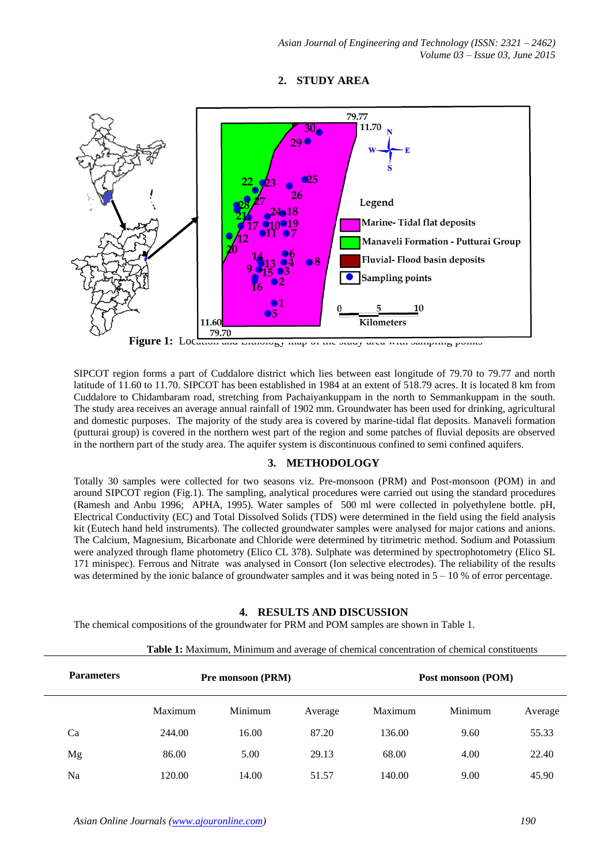# **2. STUDY AREA**



SIPCOT region forms a part of Cuddalore district which lies between east longitude of 79.70 to 79.77 and north latitude of 11.60 to 11.70. SIPCOT has been established in 1984 at an extent of 518.79 acres. It is located 8 km from Cuddalore to Chidambaram road, stretching from Pachaiyankuppam in the north to Semmankuppam in the south. The study area receives an average annual rainfall of 1902 mm. Groundwater has been used for drinking, agricultural and domestic purposes. The majority of the study area is covered by marine-tidal flat deposits. Manaveli formation (putturai group) is covered in the northern west part of the region and some patches of fluvial deposits are observed in the northern part of the study area. The aquifer system is discontinuous confined to semi confined aquifers.

# **3. METHODOLOGY**

Totally 30 samples were collected for two seasons viz. Pre-monsoon (PRM) and Post-monsoon (POM) in and around SIPCOT region (Fig.1). The sampling, analytical procedures were carried out using the standard procedures (Ramesh and Anbu 1996; APHA, 1995). Water samples of 500 ml were collected in polyethylene bottle. pH, Electrical Conductivity (EC) and Total Dissolved Solids (TDS) were determined in the field using the field analysis kit (Eutech hand held instruments). The collected groundwater samples were analysed for major cations and anions. The Calcium, Magnesium, Bicarbonate and Chloride were determined by titrimetric method. Sodium and Potassium were analyzed through flame photometry (Elico CL 378). Sulphate was determined by spectrophotometry (Elico SL 171 minispec). Ferrous and Nitrate was analysed in Consort (Ion selective electrodes). The reliability of the results was determined by the ionic balance of groundwater samples and it was being noted in  $5 - 10$  % of error percentage.

# **4. RESULTS AND DISCUSSION**

The chemical compositions of the groundwater for PRM and POM samples are shown in Table 1.

**Table 1:** Maximum, Minimum and average of chemical concentration of chemical constituents

| <b>Parameters</b> | <b>Pre monsoon (PRM)</b> |         |         | Post monsoon (POM) |         |         |
|-------------------|--------------------------|---------|---------|--------------------|---------|---------|
|                   | Maximum                  | Minimum | Average | Maximum            | Minimum | Average |
| Ca                | 244.00                   | 16.00   | 87.20   | 136.00             | 9.60    | 55.33   |
| Mg                | 86.00                    | 5.00    | 29.13   | 68.00              | 4.00    | 22.40   |
| Na                | 120.00                   | 14.00   | 51.57   | 140.00             | 9.00    | 45.90   |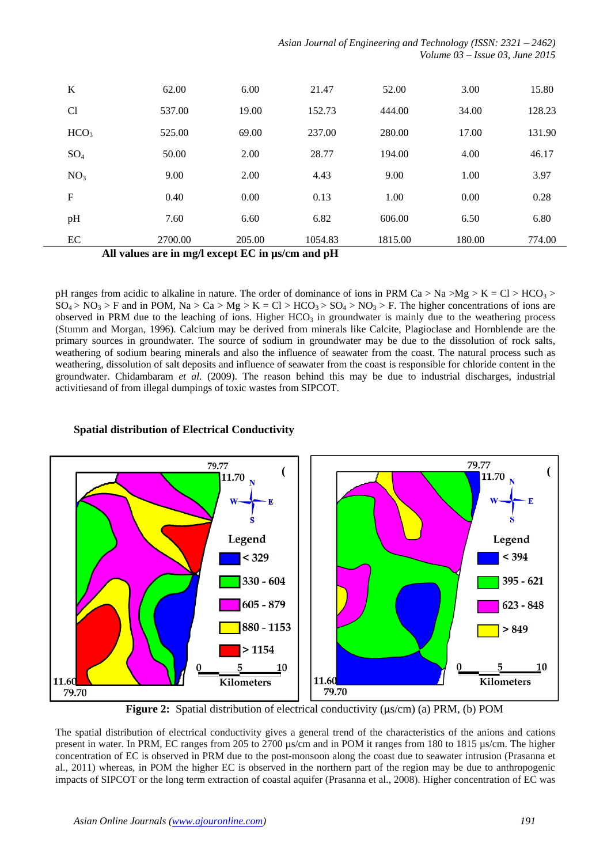| Asian Journal of Engineering and Technology (ISSN: 2321 – 2462) |                                   |
|-----------------------------------------------------------------|-----------------------------------|
|                                                                 | Volume $03$ – Issue 03, June 2015 |

| All values are in mall execut $\mathbf{F}C$ in uslam and $\mathbf{n}\mathbf{H}$ |         |        |         |         |        |        |  |
|---------------------------------------------------------------------------------|---------|--------|---------|---------|--------|--------|--|
| EC                                                                              | 2700.00 | 205.00 | 1054.83 | 1815.00 | 180.00 | 774.00 |  |
| pH                                                                              | 7.60    | 6.60   | 6.82    | 606.00  | 6.50   | 6.80   |  |
| F                                                                               | 0.40    | 0.00   | 0.13    | 1.00    | 0.00   | 0.28   |  |
| NO <sub>3</sub>                                                                 | 9.00    | 2.00   | 4.43    | 9.00    | 1.00   | 3.97   |  |
| $SO_4$                                                                          | 50.00   | 2.00   | 28.77   | 194.00  | 4.00   | 46.17  |  |
| HCO <sub>3</sub>                                                                | 525.00  | 69.00  | 237.00  | 280.00  | 17.00  | 131.90 |  |
| C <sub>1</sub>                                                                  | 537.00  | 19.00  | 152.73  | 444.00  | 34.00  | 128.23 |  |
| K                                                                               | 62.00   | 6.00   | 21.47   | 52.00   | 3.00   | 15.80  |  |
|                                                                                 |         |        |         |         |        |        |  |

**All values are in mg/l except EC in µs/cm and pH**

pH ranges from acidic to alkaline in nature. The order of dominance of ions in PRM Ca > Na > Mg > K = Cl > HCO<sub>3</sub> >  $SO_4 > NO_3 > F$  and in POM,  $Na > Ca > Mg > K = Cl > HCO_3 > SO_4 > NO_3 > F$ . The higher concentrations of ions are observed in PRM due to the leaching of ions. Higher  $HCO<sub>3</sub>$  in groundwater is mainly due to the weathering process (Stumm and Morgan, 1996). Calcium may be derived from minerals like Calcite, Plagioclase and Hornblende are the primary sources in groundwater. The source of sodium in groundwater may be due to the dissolution of rock salts, weathering of sodium bearing minerals and also the influence of seawater from the coast. The natural process such as weathering, dissolution of salt deposits and influence of seawater from the coast is responsible for chloride content in the groundwater. Chidambaram *et al.* (2009). The reason behind this may be due to industrial discharges, industrial activitiesand of from illegal dumpings of toxic wastes from SIPCOT.

# **Spatial distribution of Electrical Conductivity**



**Figure 2:** Spatial distribution of electrical conductivity ( $\mu$ s/cm) (a) PRM, (b) POM

The spatial distribution of electrical conductivity gives a general trend of the characteristics of the anions and cations present in water. In PRM, EC ranges from 205 to 2700 µs/cm and in POM it ranges from 180 to 1815 µs/cm. The higher concentration of EC is observed in PRM due to the post-monsoon along the coast due to seawater intrusion (Prasanna et al., 2011) whereas, in POM the higher EC is observed in the northern part of the region may be due to anthropogenic impacts of SIPCOT or the long term extraction of coastal aquifer (Prasanna et al., 2008). Higher concentration of EC was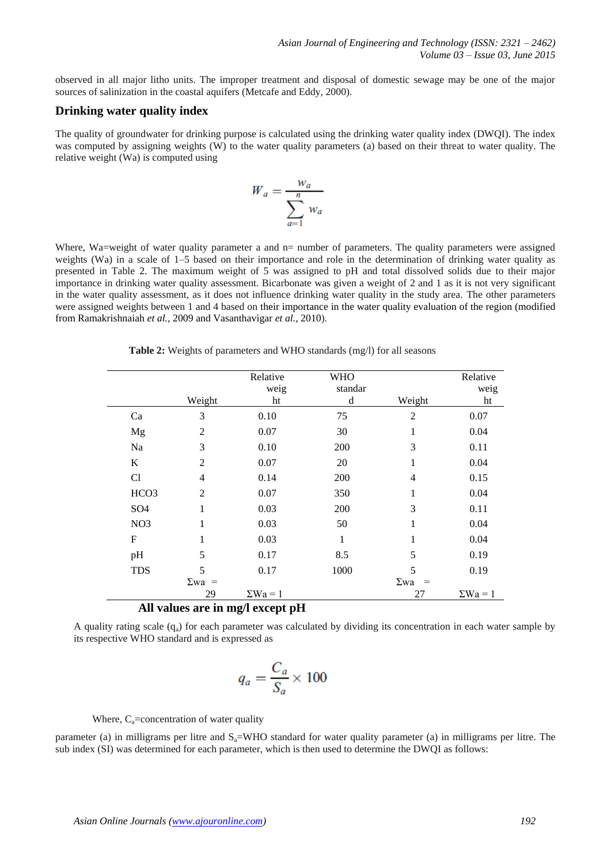observed in all major litho units. The improper treatment and disposal of domestic sewage may be one of the major sources of salinization in the coastal aquifers (Metcafe and Eddy, 2000).

#### **Drinking water quality index**

The quality of groundwater for drinking purpose is calculated using the drinking water quality index (DWQI). The index was computed by assigning weights (W) to the water quality parameters (a) based on their threat to water quality. The relative weight (Wa) is computed using

$$
W_a = \frac{w_a}{\sum_{a=1}^n w_a}
$$

Where, Wa=weight of water quality parameter a and n= number of parameters. The quality parameters were assigned weights (Wa) in a scale of 1–5 based on their importance and role in the determination of drinking water quality as presented in Table 2. The maximum weight of 5 was assigned to pH and total dissolved solids due to their major importance in drinking water quality assessment. Bicarbonate was given a weight of 2 and 1 as it is not very significant in the water quality assessment, as it does not influence drinking water quality in the study area. The other parameters were assigned weights between 1 and 4 based on their importance in the water quality evaluation of the region (modified from Ramakrishnaiah *et al.,* 2009 and Vasanthavigar *et al.,* 2010).

|                  |                                 | Relative<br>weig | <b>WHO</b><br>standar |                    | Relative<br>weig |  |  |
|------------------|---------------------------------|------------------|-----------------------|--------------------|------------------|--|--|
|                  | Weight                          | ht               | d                     | Weight             | ht               |  |  |
| Ca               | 3                               | 0.10             | 75                    | $\overline{2}$     | 0.07             |  |  |
| Mg               | $\mathfrak{2}$                  | 0.07             | 30                    | 1                  | 0.04             |  |  |
| Na               | 3                               | 0.10             | 200                   | 3                  | 0.11             |  |  |
| K                | 2                               | 0.07             | 20                    | 1                  | 0.04             |  |  |
| C <sub>1</sub>   | 4                               | 0.14             | 200                   | $\overline{4}$     | 0.15             |  |  |
| HCO <sub>3</sub> | $\mathfrak{2}$                  | 0.07             | 350                   | 1                  | 0.04             |  |  |
| SO <sub>4</sub>  | 1                               | 0.03             | 200                   | 3                  | 0.11             |  |  |
| NO <sub>3</sub>  | 1                               | 0.03             | 50                    |                    | 0.04             |  |  |
| $\mathbf{F}$     | 1                               | 0.03             | 1                     |                    | 0.04             |  |  |
| pH               | 5                               | 0.17             | 8.5                   | 5                  | 0.19             |  |  |
| <b>TDS</b>       | 5                               | 0.17             | 1000                  | 5                  | 0.19             |  |  |
|                  | $\Sigma$ wa =                   |                  |                       | $\Sigma$ wa<br>$=$ |                  |  |  |
|                  | 29                              | $\Sigma Wa = 1$  |                       | 27                 | $\Sigma Wa = 1$  |  |  |
|                  | All values are in mall exacuted |                  |                       |                    |                  |  |  |

**Table 2:** Weights of parameters and WHO standards (mg/l) for all seasons

 **All values are in mg/l except pH**

A quality rating scale  $(q_a)$  for each parameter was calculated by dividing its concentration in each water sample by its respective WHO standard and is expressed as

$$
q_a = \frac{C_a}{S_a} \times 100
$$

Where,  $C_a$ =concentration of water quality

parameter (a) in milligrams per litre and  $S_a=WHO$  standard for water quality parameter (a) in milligrams per litre. The sub index (SI) was determined for each parameter, which is then used to determine the DWQI as follows: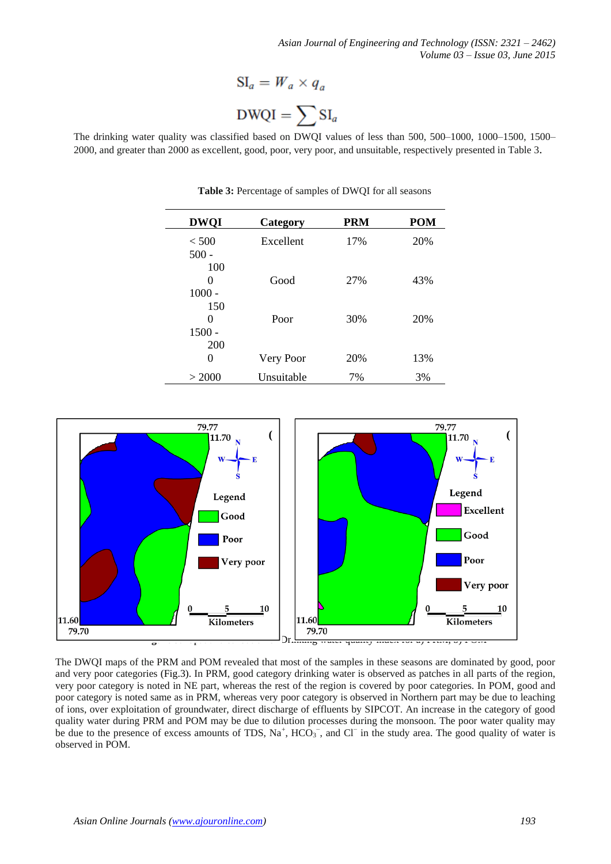$$
SI_a = W_a \times q_a
$$
  
DWQI =  $\sum SI_a$ 

The drinking water quality was classified based on DWQI values of less than 500, 500–1000, 1000–1500, 1500– 2000, and greater than 2000 as excellent, good, poor, very poor, and unsuitable, respectively presented in Table 3.

| <b>DWQI</b> | Category   | <b>PRM</b> | <b>POM</b> |
|-------------|------------|------------|------------|
| < 500       | Excellent  | 17%        | 20%        |
| $500 -$     |            |            |            |
| 100         |            |            |            |
| 0           | Good       | 27%        | 43%        |
| $1000 -$    |            |            |            |
| 150         |            |            |            |
| 0           | Poor       | 30%        | 20%        |
| $1500 -$    |            |            |            |
| 200         |            |            |            |
| 0           | Very Poor  | 20%        | 13%        |
| > 2000      | Unsuitable | 7%         | 3%         |

**Table 3:** Percentage of samples of DWQI for all seasons



The DWQI maps of the PRM and POM revealed that most of the samples in these seasons are dominated by good, poor and very poor categories (Fig.3). In PRM, good category drinking water is observed as patches in all parts of the region, very poor category is noted in NE part, whereas the rest of the region is covered by poor categories. In POM, good and poor category is noted same as in PRM, whereas very poor category is observed in Northern part may be due to leaching of ions, over exploitation of groundwater, direct discharge of effluents by SIPCOT. An increase in the category of good quality water during PRM and POM may be due to dilution processes during the monsoon. The poor water quality may be due to the presence of excess amounts of TDS, Na<sup>+</sup>, HCO<sub>3</sub><sup>-</sup>, and Cl<sup>−</sup> in the study area. The good quality of water is observed in POM.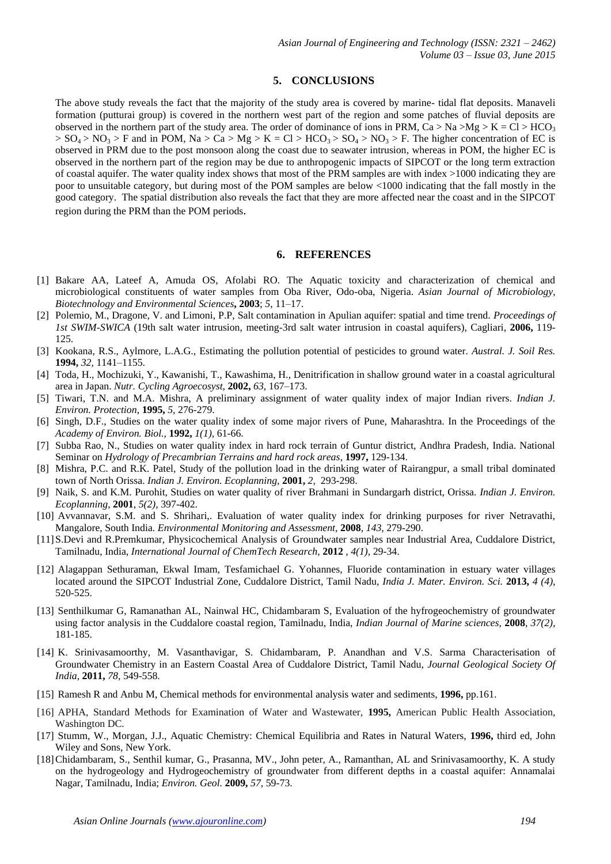#### **5. CONCLUSIONS**

The above study reveals the fact that the majority of the study area is covered by marine- tidal flat deposits. Manaveli formation (putturai group) is covered in the northern west part of the region and some patches of fluvial deposits are observed in the northern part of the study area. The order of dominance of ions in PRM,  $Ca > Na > Mg > K = Cl > HCO<sub>3</sub>$  $> SO_4 > NO_3 > F$  and in POM, Na  $> Ca > Mg > K = Cl > HCO_3 > SO_4 > NO_3 > F$ . The higher concentration of EC is observed in PRM due to the post monsoon along the coast due to seawater intrusion, whereas in POM, the higher EC is observed in the northern part of the region may be due to anthropogenic impacts of SIPCOT or the long term extraction of coastal aquifer. The water quality index shows that most of the PRM samples are with index >1000 indicating they are poor to unsuitable category, but during most of the POM samples are below <1000 indicating that the fall mostly in the good category. The spatial distribution also reveals the fact that they are more affected near the coast and in the SIPCOT region during the PRM than the POM periods.

#### **6. REFERENCES**

- [1] Bakare AA, Lateef A, Amuda OS, Afolabi RO. The Aquatic toxicity and characterization of chemical and microbiological constituents of water samples from Oba River, Odo-oba, Nigeria. *Asian Journal of Microbiology, Biotechnology and Environmental Sciences***, 2003**; *5*, 11–17.
- [2] Polemio, M., Dragone, V. and Limoni, P.P, Salt contamination in Apulian aquifer: spatial and time trend. *Proceedings of 1st SWIM-SWICA* (19th salt water intrusion, meeting-3rd salt water intrusion in coastal aquifers), Cagliari, **2006,** 119- 125.
- [3] Kookana, R.S., Aylmore, L.A.G., Estimating the pollution potential of pesticides to ground water. *Austral. J. Soil Res.* **1994,** *32,* 1141–1155.
- [4] Toda, H., Mochizuki, Y., Kawanishi, T., Kawashima, H., Denitrification in shallow ground water in a coastal agricultural area in Japan. *Nutr. Cycling Agroecosyst*, **2002,** *63*, 167–173.
- [5] Tiwari, T.N. and M.A. Mishra, A preliminary assignment of water quality index of major Indian rivers. *Indian J. Environ. Protection*, **1995,** *5,* 276-279.
- [6] Singh, D.F., Studies on the water quality index of some major rivers of Pune, Maharashtra. In the Proceedings of the *Academy of Environ. Biol.,* **1992,** *1(1),* 61-66.
- [7] Subba Rao, N., Studies on water quality index in hard rock terrain of Guntur district, Andhra Pradesh, India. National Seminar on *Hydrology of Precambrian Terrains and hard rock areas*, **1997,** 129-134.
- [8] Mishra, P.C. and R.K. Patel, Study of the pollution load in the drinking water of Rairangpur, a small tribal dominated town of North Orissa. *Indian J. Environ. Ecoplanning,* **2001,** *2,* 293-298.
- [9] Naik, S. and K.M. Purohit, Studies on water quality of river Brahmani in Sundargarh district, Orissa. *Indian J. Environ. Ecoplanning,* **2001**, *5(2),* 397-402.
- [10] Avvannavar, S.M. and S. Shrihari,. Evaluation of water quality index for drinking purposes for river Netravathi, Mangalore, South India. *Environmental Monitoring and Assessment,* **2008**, *143,* 279-290.
- [11]S.Devi and R.Premkumar, Physicochemical Analysis of Groundwater samples near Industrial Area, Cuddalore District, Tamilnadu, India, *International Journal of ChemTech Research*, **2012** , *4(1),* 29-34.
- [12] Alagappan Sethuraman, Ekwal Imam, Tesfamichael G. Yohannes, Fluoride contamination in estuary water villages located around the SIPCOT Industrial Zone, Cuddalore District, Tamil Nadu, *India J. Mater. Environ. Sci.* **2013,** *4 (4)*, 520-525.
- [13] Senthilkumar G, Ramanathan AL, Nainwal HC, Chidambaram S, Evaluation of the hyfrogeochemistry of groundwater using factor analysis in the Cuddalore coastal region, Tamilnadu, India, *Indian Journal of Marine sciences*, **2008**, *37(2),* 181-185.
- [14] K. Srinivasamoorthy, M. Vasanthavigar, S. Chidambaram, P. Anandhan and V.S. Sarma Characterisation of Groundwater Chemistry in an Eastern Coastal Area of Cuddalore District, Tamil Nadu, *Journal Geological Society Of India*, **2011,** *78,* 549-558.
- [15] Ramesh R and Anbu M, Chemical methods for environmental analysis water and sediments, **1996,** pp.161.
- [16] APHA, Standard Methods for Examination of Water and Wastewater, **1995,** American Public Health Association, Washington DC.
- [17] Stumm, W., Morgan, J.J., Aquatic Chemistry: Chemical Equilibria and Rates in Natural Waters, **1996,** third ed, John Wiley and Sons, New York.
- [18]Chidambaram, S., Senthil kumar, G., Prasanna, MV., John peter, A., Ramanthan, AL and Srinivasamoorthy, K. A study on the hydrogeology and Hydrogeochemistry of groundwater from different depths in a coastal aquifer: Annamalai Nagar, Tamilnadu, India; *Environ. Geol.* **2009,** *57,* 59-73.